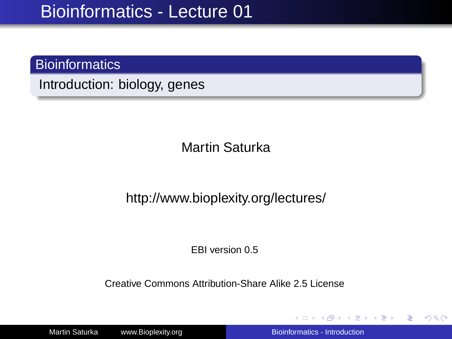### **Bioinformatics**

Introduction: biology, genes

Martin Saturka

#### http://www.bioplexity.org/lectures/

EBI version 0.5

Creative Commons Attribution-Share Alike 2.5 License

Martin Saturka www.Bioplexity.org Bionformatics - Introduction

イロト イ押 トイヨ トイヨ トー

<span id="page-0-0"></span>÷.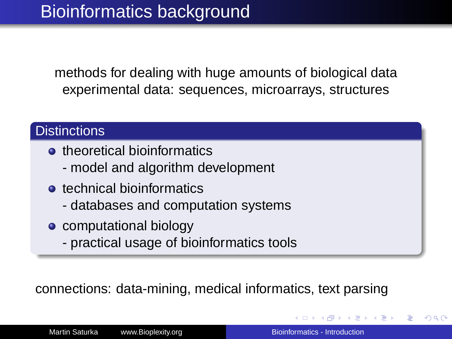methods for dealing with huge amounts of biological data experimental data: sequences, microarrays, structures

### **Distinctions**

- **o** theoretical bioinformatics
	- model and algorithm development
- **•** technical bioinformatics
	- databases and computation systems
- **c** computational biology
	- practical usage of bioinformatics tools

connections: data-mining, medical informatics, text parsing

つくい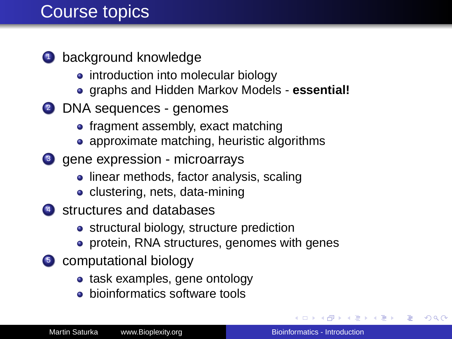# Course topics

- **1** background knowledge
	- introduction into molecular biology
	- graphs and Hidden Markov Models **essential!**
- <sup>2</sup> DNA sequences genomes
	- fragment assembly, exact matching
	- approximate matching, heuristic algorithms
- <sup>3</sup> gene expression microarrays
	- linear methods, factor analysis, scaling
	- clustering, nets, data-mining
- 4 structures and databases
	- **•** structural biology, structure prediction
	- **•** protein, RNA structures, genomes with genes
- <sup>5</sup> computational biology
	- task examples, gene ontology
	- **•** bioinformatics software tools

 $\left\{ \bigoplus_{i=1}^{n} \mathbb{P} \left[ \bigoplus_{i=1}^{n} \mathbb{P} \left[ \bigoplus_{i=1}^{n} \mathbb{P} \left[ \bigoplus_{i=1}^{n} \mathbb{P} \left[ \bigoplus_{i=1}^{n} \mathbb{P} \left[ \bigoplus_{i=1}^{n} \mathbb{P} \left[ \bigoplus_{i=1}^{n} \mathbb{P} \left[ \bigoplus_{i=1}^{n} \mathbb{P} \left[ \bigoplus_{i=1}^{n} \mathbb{P} \left[ \bigoplus_{i=1}^{n} \mathbb{P} \left[ \bigoplus_{i$ 

B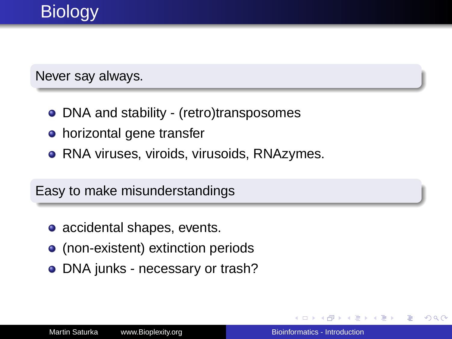### Never say always.

- DNA and stability (retro)transposomes
- horizontal gene transfer
- RNA viruses, viroids, virusoids, RNAzymes.

## Easy to make misunderstandings

- accidental shapes, events.
- (non-existent) extinction periods
- DNA junks necessary or trash?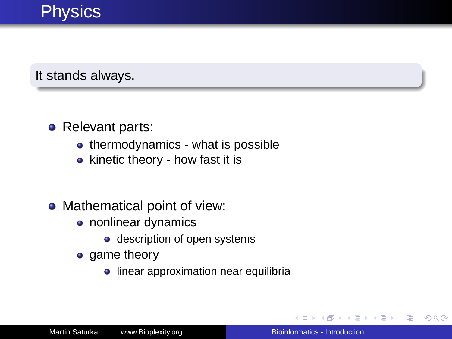# **Physics**

It stands always.

### • Relevant parts:

- thermodynamics what is possible
- kinetic theory how fast it is

## • Mathematical point of view:

- nonlinear dynamics
	- description of open systems
- game theory
	- **·** linear approximation near equilibria

4 间

 $2990$ 

ă

4 重 8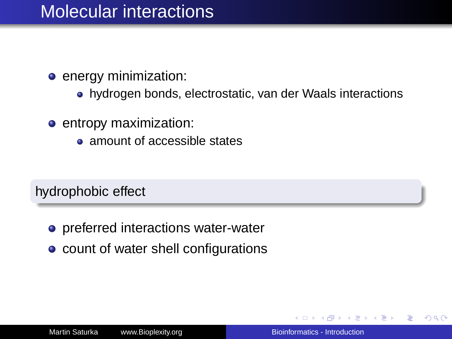# Molecular interactions

- **e** energy minimization:
	- hydrogen bonds, electrostatic, van der Waals interactions
- **e** entropy maximization:
	- amount of accessible states

hydrophobic effect

- preferred interactions water-water
- count of water shell configurations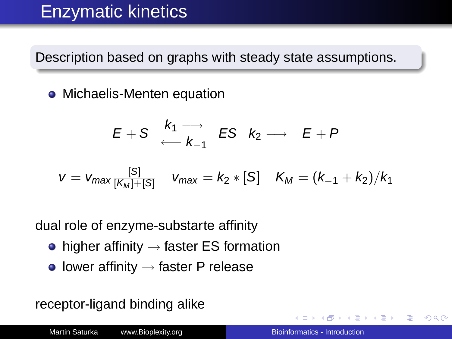# Enzymatic kinetics

Description based on graphs with steady state assumptions.

• Michaelis-Menten equation

$$
E+S \xrightarrow{k_1 \longrightarrow} ES \hspace{0.2cm} k_2 \longrightarrow \hspace{0.2cm} E+P
$$

$$
v = v_{max} \frac{[S]}{[K_M]+[S]} \quad v_{max} = k_2 * [S] \quad K_M = (k_{-1} + k_2)/k_1
$$

dual role of enzyme-substarte affinity

- $\bullet$  higher affinity  $\rightarrow$  faster ES formation
- $\bullet$  lower affinity  $\rightarrow$  faster P release

receptor-ligand binding alike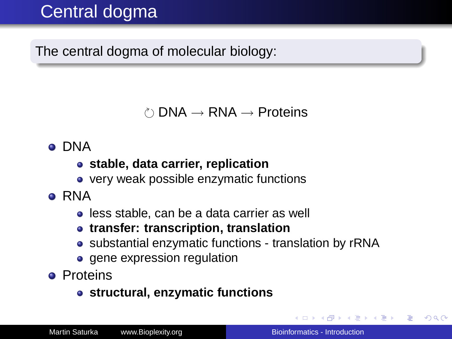# Central dogma

The central dogma of molecular biology:

 $\circ$  DNA  $\rightarrow$  RNA  $\rightarrow$  Proteins

- **o** DNA
	- **stable, data carrier, replication**
	- very weak possible enzymatic functions
- **e** RNA
	- **.** less stable, can be a data carrier as well
	- **transfer: transcription, translation**
	- substantial enzymatic functions translation by rRNA
	- **e** gene expression regulation
- **•** Proteins
	- **structural, enzymatic functions**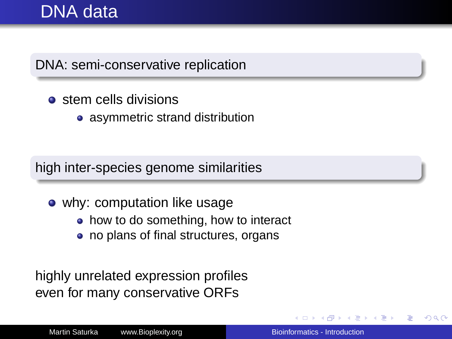# DNA data

DNA: semi-conservative replication

- **o** stem cells divisions
	- asymmetric strand distribution

high inter-species genome similarities

- why: computation like usage
	- how to do something, how to interact
	- no plans of final structures, organs

highly unrelated expression profiles even for many conservative ORFs

 $\Omega$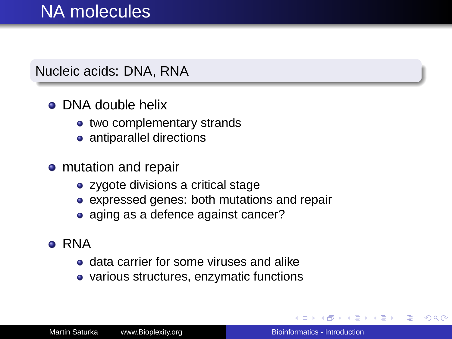# NA molecules

### Nucleic acids: DNA, RNA

## **• DNA double helix**

- two complementary strands
- antiparallel directions
- mutation and repair
	- zygote divisions a critical stage
	- expressed genes: both mutations and repair
	- aging as a defence against cancer?
- **RNA** 
	- **o** data carrier for some viruses and alike
	- various structures, enzymatic functions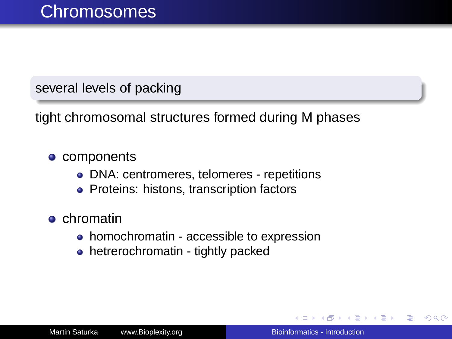several levels of packing

tight chromosomal structures formed during M phases

#### • components

- DNA: centromeres, telomeres repetitions
- Proteins: histons, transcription factors
- **o** chromatin
	- homochromatin accessible to expression
	- hetrerochromatin tightly packed

ミメ メミメー

B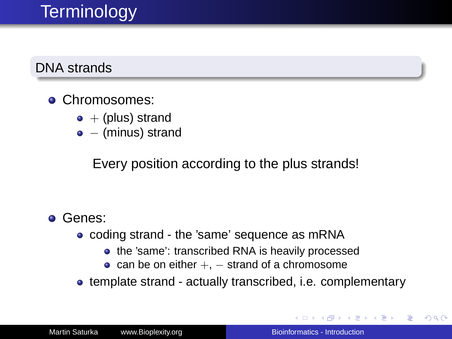# **Terminology**

### DNA strands

### **• Chromosomes:**

- $\bullet$  + (plus) strand
- − (minus) strand

Every position according to the plus strands!

### Genes:

- coding strand the 'same' sequence as mRNA
	- the 'same': transcribed RNA is heavily processed
	- can be on either  $+$ ,  $-$  strand of a chromosome
- template strand actually transcribed, i.e. complementary

イロメ イ押メ イヨメ イヨメー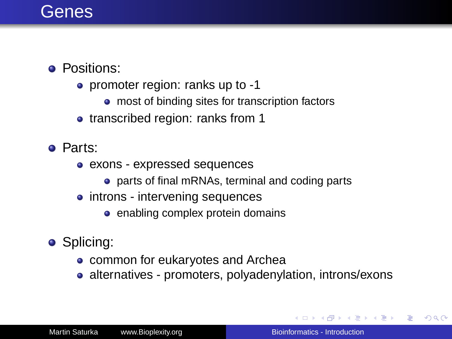## **Genes**

### **•** Positions:

- promoter region: ranks up to -1
	- most of binding sites for transcription factors
- transcribed region: ranks from 1
- Parts:
	- exons expressed sequences
		- parts of final mRNAs, terminal and coding parts
	- introns intervening sequences
		- enabling complex protein domains
- **•** Splicing:
	- common for eukaryotes and Archea
	- alternatives promoters, polyadenylation, introns/exons

イロト イ団 トイヨ トイヨ トー

B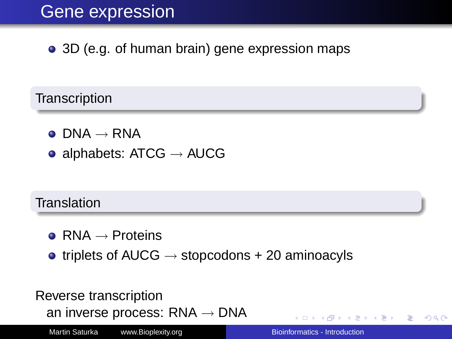# Gene expression

• 3D (e.g. of human brain) gene expression maps

**Transcription** 

- $\bullet$  DNA  $\rightarrow$  RNA
- alphabets:  $ATCG \rightarrow AUCG$

### **Translation**

- $RNA \rightarrow$  Proteins
- triplets of AUCG  $\rightarrow$  stopcodons + 20 aminoacyls

### Reverse transcription an inverse process:  $RNA \rightarrow DNA$

Martin Saturka www.Bioplexity.org Bionformatics - Introduction

**K ロ ⊁ K 伊 ⊁ K ヨ ⊁** 

不重きし ÷.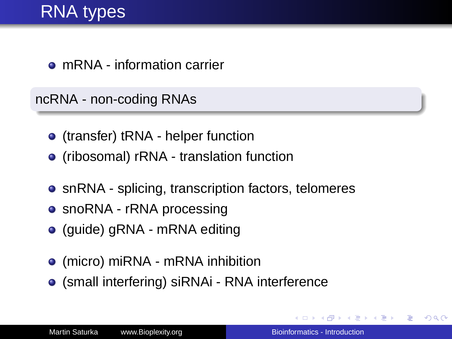mRNA - information carrier

ncRNA - non-coding RNAs

- (transfer) tRNA helper function
- (ribosomal) rRNA translation function
- snRNA splicing, transcription factors, telomeres
- snoRNA rRNA processing
- (guide) gRNA mRNA editing
- (micro) miRNA mRNA inhibition
- (small interfering) siRNAi RNA interference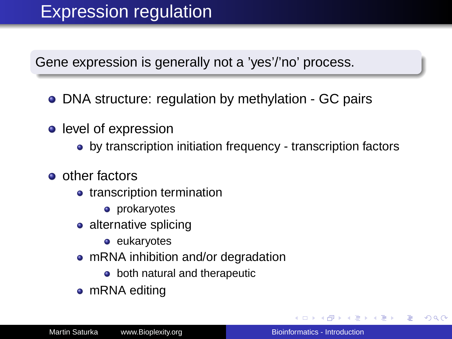Gene expression is generally not a 'yes'/'no' process.

- DNA structure: regulation by methylation GC pairs
- level of expression
	- by transcription initiation frequency transcription factors
- **o** other factors
	- transcription termination
		- **•** prokaryotes
	- alternative splicing
		- **e** eukaryotes
	- mRNA inhibition and/or degradation
		- **•** both natural and therapeutic
	- mRNA editing

4 重 8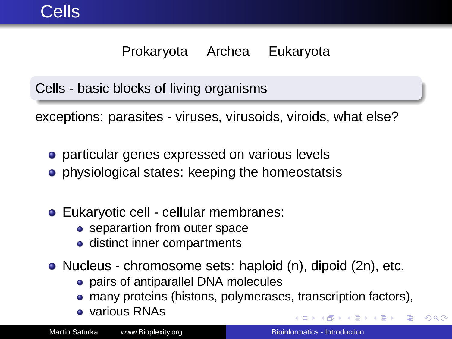## Prokaryota Archea Eukaryota

Cells - basic blocks of living organisms

exceptions: parasites - viruses, virusoids, viroids, what else?

- **•** particular genes expressed on various levels
- **•** physiological states: keeping the homeostatsis
- Eukaryotic cell cellular membranes:
	- separartion from outer space
	- distinct inner compartments
- Nucleus chromosome sets: haploid (n), dipoid (2n), etc.
	- pairs of antiparallel DNA molecules
	- many proteins (histons, polymerases, transcription factors),
	- various RNAs

 $\leftarrow \Xi \rightarrow$ 

 $290$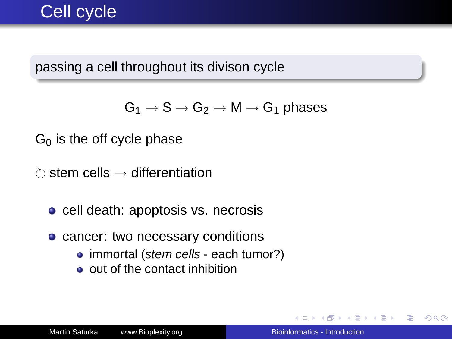# Cell cycle

passing a cell throughout its divison cycle

 $G_1 \rightarrow S \rightarrow G_2 \rightarrow M \rightarrow G_1$  phases

 $G<sub>0</sub>$  is the off cycle phase

 $\hat{C}$  stem cells  $\rightarrow$  differentiation

• cell death: apoptosis vs. necrosis

• cancer: two necessary conditions

- immortal (stem cells each tumor?)
- out of the contact inhibition

イロト イ押 トイヨ トイヨ トー

ă.  $QQ$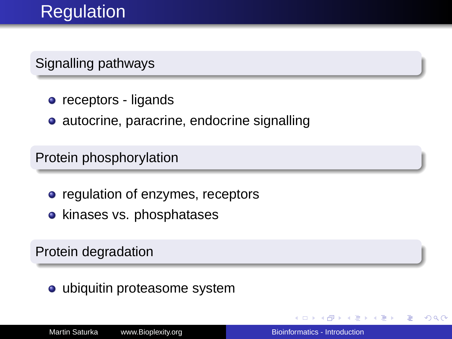# **Regulation**

Signalling pathways

- **o** receptors ligands
- autocrine, paracrine, endocrine signalling

Protein phosphorylation

- regulation of enzymes, receptors
- kinases vs. phosphatases

Protein degradation

• ubiquitin proteasome system

ヨ トー ă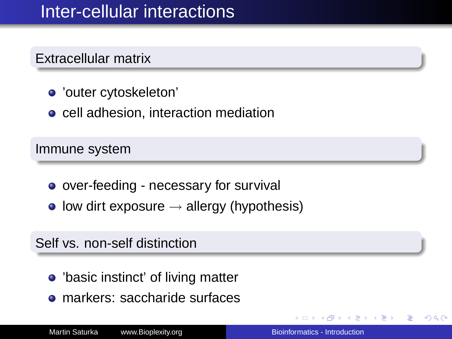# Inter-cellular interactions

### Extracellular matrix

- 'outer cytoskeleton'
- cell adhesion, interaction mediation

Immune system

- over-feeding necessary for survival
- low dirt exposure  $\rightarrow$  allergy (hypothesis)

### Self vs. non-self distinction

- 'basic instinct' of living matter
- markers: saccharide surfaces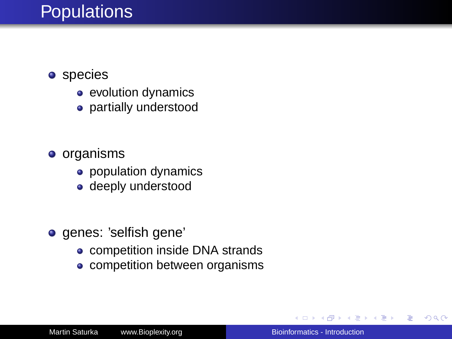# **Populations**

- **o** species
	- evolution dynamics
	- partially understood
- **o** organisms
	- population dynamics
	- deeply understood
- **o** genes: 'selfish gene'
	- **competition inside DNA strands**
	- competition between organisms

4 重 8

ă.  $QQ$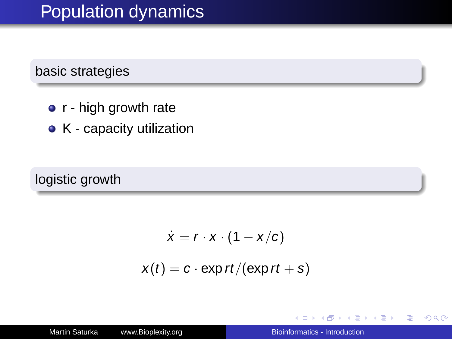# Population dynamics

### basic strategies

- r high growth rate
- K capacity utilization

### logistic growth

$$
\dot{x} = r \cdot x \cdot (1 - x/c)
$$

$$
x(t) = c \cdot \exp rt / (\exp rt + s)
$$

3 @ →

重き イ島 おし

 $\equiv$ 

 $2990$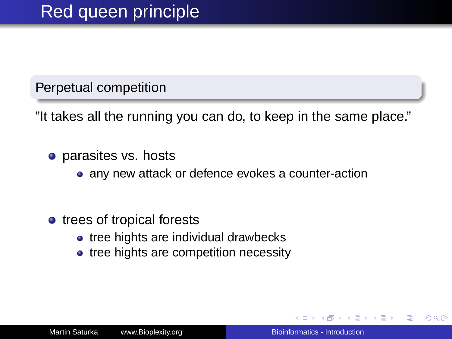Perpetual competition

"It takes all the running you can do, to keep in the same place."

- parasites vs. hosts
	- any new attack or defence evokes a counter-action
- trees of tropical forests
	- tree hights are individual drawbecks
	- tree hights are competition necessity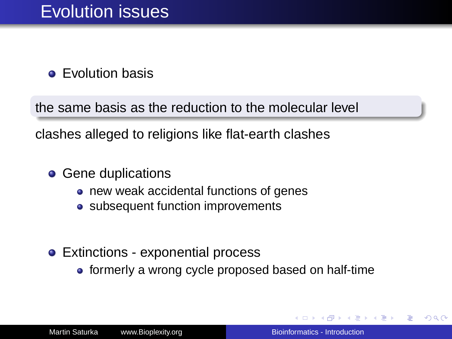**e** Evolution basis

the same basis as the reduction to the molecular level

clashes alleged to religions like flat-earth clashes

- **Gene duplications** 
	- new weak accidental functions of genes
	- subsequent function improvements
- Extinctions exponential process
	- formerly a wrong cycle proposed based on half-time

す画→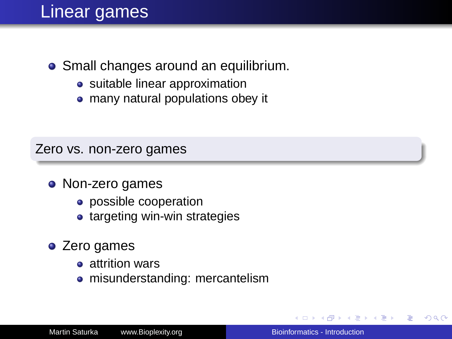## Linear games

### • Small changes around an equilibrium.

- suitable linear approximation
- many natural populations obey it

#### Zero vs. non-zero games

#### • Non-zero games

- possible cooperation
- targeting win-win strategies
- Zero games
	- attrition wars
	- misunderstanding: mercantelism

 $2990$ 

4 重 8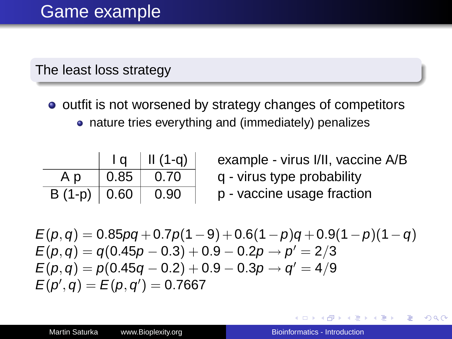### The least loss strategy

o outfit is not worsened by strategy changes of competitors nature tries everything and (immediately) penalizes

|         | l a  | $II(1-q)$ |
|---------|------|-----------|
| Аp      | 0.85 | 0.70      |
| B (1-p) | 0.60 | 0.90      |

example - virus I/II, vaccine A/B q - virus type probability p - vaccine usage fraction

$$
E(p,q) = 0.85pq + 0.7p(1-9) + 0.6(1-p)q + 0.9(1-p)(1-q) \nE(p,q) = q(0.45p - 0.3) + 0.9 - 0.2p \rightarrow p' = 2/3 \nE(p,q) = p(0.45q - 0.2) + 0.9 - 0.3p \rightarrow q' = 4/9 \nE(p',q) = E(p,q') = 0.7667
$$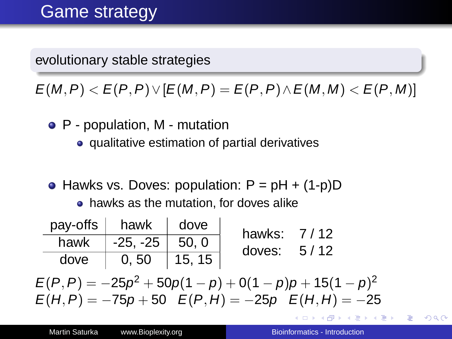evolutionary stable strategies

 $E(M, P) < E(P, P) \vee [E(M, P) = E(P, P) \wedge E(M, M) < E(P, M)]$ 

- P population, M mutation
	- **•** qualitative estimation of partial derivatives
- Hawks vs. Doves: population:  $P = pH + (1-p)D$

• hawks as the mutation, for doves alike

| $pay\text{-offs}$ hawk |                    | dove           | hawks: 7/12   |  |
|------------------------|--------------------|----------------|---------------|--|
| hawk                   | $-25, -25$   50, 0 |                | doves: $5/12$ |  |
| dove                   | 0,50               | $\vert$ 15, 15 |               |  |

 $E(P,P)=-25p^2+50p(1-p)+0(1-p)p+15(1-p)^2$  $E(H, P) = -75p + 50$   $E(P, H) = -25p$   $E(H, H) = -25$ 

重き メラメー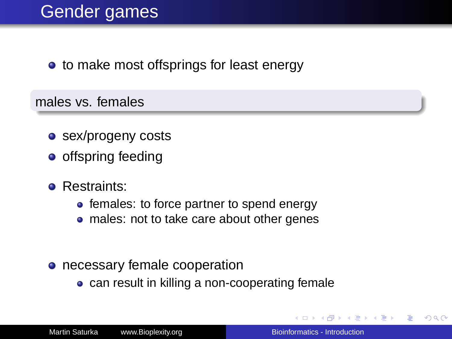• to make most offsprings for least energy

males vs. females

- sex/progeny costs
- $\bullet$  offspring feeding
- **e** Restraints:
	- females: to force partner to spend energy
	- males: not to take care about other genes
- necessary female cooperation
	- can result in killing a non-cooperating female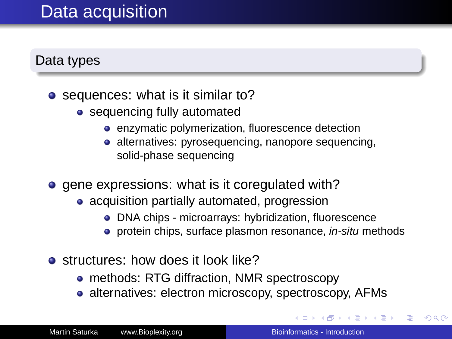# Data acquisition

### Data types

- sequences: what is it similar to?
	- sequencing fully automated
		- enzymatic polymerization, fluorescence detection
		- alternatives: pyrosequencing, nanopore sequencing, solid-phase sequencing
- **e** gene expressions: what is it coregulated with?
	- acquisition partially automated, progression
		- DNA chips microarrays: hybridization, fluorescence
		- protein chips, surface plasmon resonance, in-situ methods
- o structures: how does it look like?
	- methods: RTG diffraction, NMR spectroscopy
	- alternatives: electron microscopy, spectroscopy, AFMs

④重き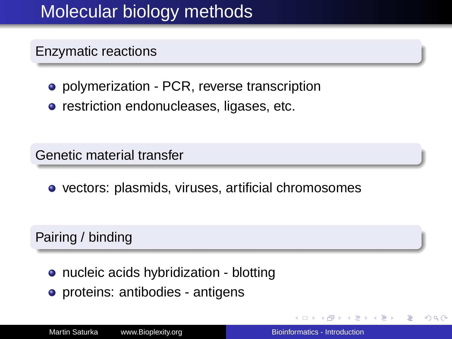# Molecular biology methods

### Enzymatic reactions

- polymerization PCR, reverse transcription
- **•** restriction endonucleases, ligases, etc.

Genetic material transfer

**•** vectors: plasmids, viruses, artificial chromosomes

### Pairing / binding

- nucleic acids hybridization blotting
- proteins: antibodies antigens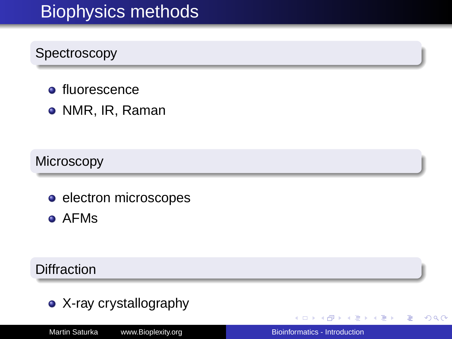# Biophysics methods

## **Spectroscopy**

- **·** fluorescence
- NMR, IR, Raman

### **Microscopy**

**e** electron microscopes

AFMs

#### **Diffraction**

• X-ray crystallography

4 0 8

④重き  $\equiv$   $299$